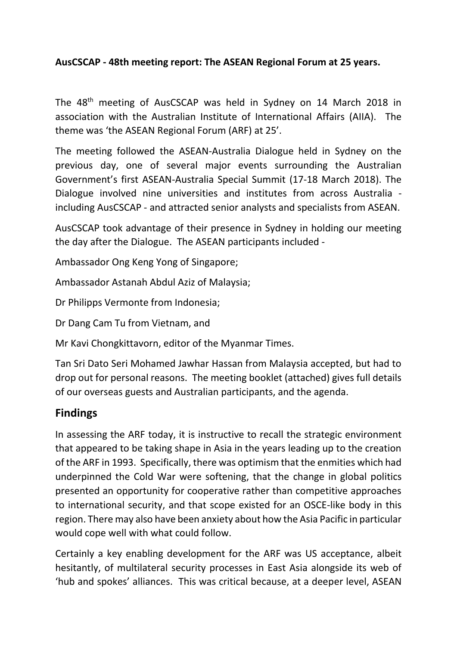## **AusCSCAP - 48th meeting report: The ASEAN Regional Forum at 25 years.**

The 48<sup>th</sup> meeting of AusCSCAP was held in Sydney on 14 March 2018 in association with the Australian Institute of International Affairs (AIIA). The theme was 'the ASEAN Regional Forum (ARF) at 25'.

The meeting followed the ASEAN-Australia Dialogue held in Sydney on the previous day, one of several major events surrounding the Australian Government's first ASEAN-Australia Special Summit (17-18 March 2018). The Dialogue involved nine universities and institutes from across Australia including AusCSCAP - and attracted senior analysts and specialists from ASEAN.

AusCSCAP took advantage of their presence in Sydney in holding our meeting the day after the Dialogue. The ASEAN participants included -

Ambassador Ong Keng Yong of Singapore;

Ambassador Astanah Abdul Aziz of Malaysia;

Dr Philipps Vermonte from Indonesia;

Dr Dang Cam Tu from Vietnam, and

Mr Kavi Chongkittavorn, editor of the Myanmar Times.

Tan Sri Dato Seri Mohamed Jawhar Hassan from Malaysia accepted, but had to drop out for personal reasons. The meeting booklet (attached) gives full details of our overseas guests and Australian participants, and the agenda.

## **Findings**

In assessing the ARF today, it is instructive to recall the strategic environment that appeared to be taking shape in Asia in the years leading up to the creation of the ARF in 1993. Specifically, there was optimism that the enmities which had underpinned the Cold War were softening, that the change in global politics presented an opportunity for cooperative rather than competitive approaches to international security, and that scope existed for an OSCE-like body in this region. There may also have been anxiety about how the Asia Pacific in particular would cope well with what could follow.

Certainly a key enabling development for the ARF was US acceptance, albeit hesitantly, of multilateral security processes in East Asia alongside its web of 'hub and spokes' alliances. This was critical because, at a deeper level, ASEAN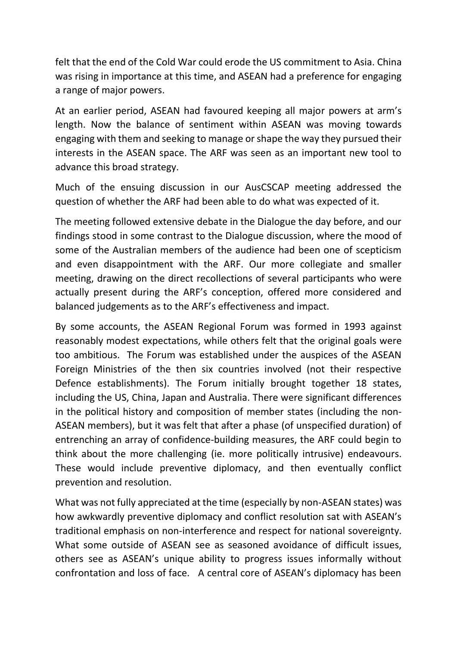felt that the end of the Cold War could erode the US commitment to Asia. China was rising in importance at this time, and ASEAN had a preference for engaging a range of major powers.

At an earlier period, ASEAN had favoured keeping all major powers at arm's length. Now the balance of sentiment within ASEAN was moving towards engaging with them and seeking to manage or shape the way they pursued their interests in the ASEAN space. The ARF was seen as an important new tool to advance this broad strategy.

Much of the ensuing discussion in our AusCSCAP meeting addressed the question of whether the ARF had been able to do what was expected of it.

The meeting followed extensive debate in the Dialogue the day before, and our findings stood in some contrast to the Dialogue discussion, where the mood of some of the Australian members of the audience had been one of scepticism and even disappointment with the ARF. Our more collegiate and smaller meeting, drawing on the direct recollections of several participants who were actually present during the ARF's conception, offered more considered and balanced judgements as to the ARF's effectiveness and impact.

By some accounts, the ASEAN Regional Forum was formed in 1993 against reasonably modest expectations, while others felt that the original goals were too ambitious. The Forum was established under the auspices of the ASEAN Foreign Ministries of the then six countries involved (not their respective Defence establishments). The Forum initially brought together 18 states, including the US, China, Japan and Australia. There were significant differences in the political history and composition of member states (including the non-ASEAN members), but it was felt that after a phase (of unspecified duration) of entrenching an array of confidence-building measures, the ARF could begin to think about the more challenging (ie. more politically intrusive) endeavours. These would include preventive diplomacy, and then eventually conflict prevention and resolution.

What was not fully appreciated at the time (especially by non-ASEAN states) was how awkwardly preventive diplomacy and conflict resolution sat with ASEAN's traditional emphasis on non-interference and respect for national sovereignty. What some outside of ASEAN see as seasoned avoidance of difficult issues, others see as ASEAN's unique ability to progress issues informally without confrontation and loss of face. A central core of ASEAN's diplomacy has been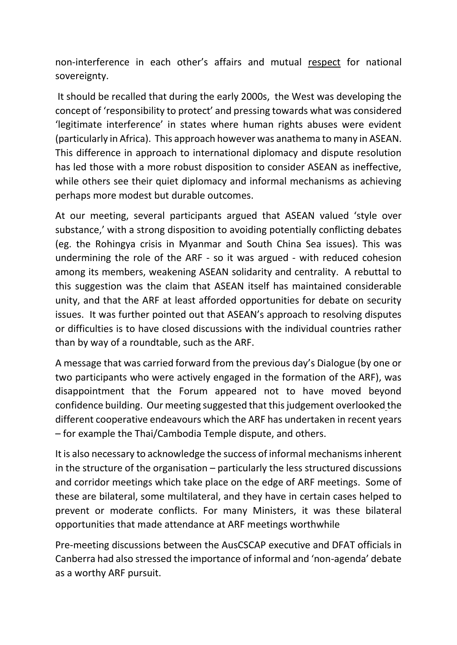non-interference in each other's affairs and mutual respect for national sovereignty.

It should be recalled that during the early 2000s, the West was developing the concept of 'responsibility to protect' and pressing towards what was considered 'legitimate interference' in states where human rights abuses were evident (particularly in Africa). This approach however was anathema to many in ASEAN. This difference in approach to international diplomacy and dispute resolution has led those with a more robust disposition to consider ASEAN as ineffective, while others see their quiet diplomacy and informal mechanisms as achieving perhaps more modest but durable outcomes.

At our meeting, several participants argued that ASEAN valued 'style over substance,' with a strong disposition to avoiding potentially conflicting debates (eg. the Rohingya crisis in Myanmar and South China Sea issues). This was undermining the role of the ARF - so it was argued - with reduced cohesion among its members, weakening ASEAN solidarity and centrality. A rebuttal to this suggestion was the claim that ASEAN itself has maintained considerable unity, and that the ARF at least afforded opportunities for debate on security issues. It was further pointed out that ASEAN's approach to resolving disputes or difficulties is to have closed discussions with the individual countries rather than by way of a roundtable, such as the ARF.

A message that was carried forward from the previous day's Dialogue (by one or two participants who were actively engaged in the formation of the ARF), was disappointment that the Forum appeared not to have moved beyond confidence building. Our meeting suggested that this judgement overlooked the different cooperative endeavours which the ARF has undertaken in recent years – for example the Thai/Cambodia Temple dispute, and others.

It is also necessary to acknowledge the success of informal mechanisms inherent in the structure of the organisation – particularly the less structured discussions and corridor meetings which take place on the edge of ARF meetings. Some of these are bilateral, some multilateral, and they have in certain cases helped to prevent or moderate conflicts. For many Ministers, it was these bilateral opportunities that made attendance at ARF meetings worthwhile

Pre-meeting discussions between the AusCSCAP executive and DFAT officials in Canberra had also stressed the importance of informal and 'non-agenda' debate as a worthy ARF pursuit.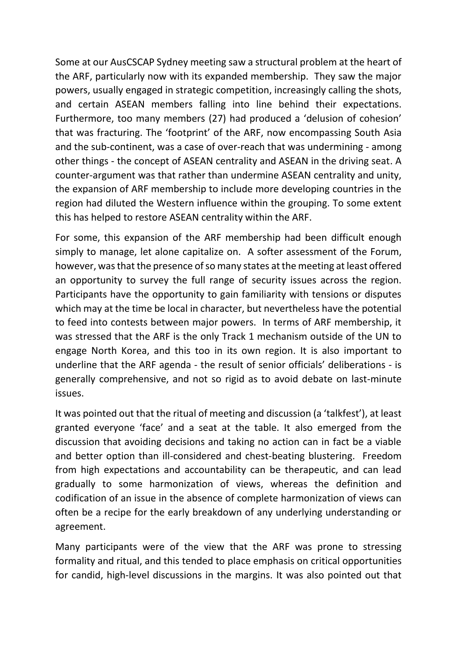Some at our AusCSCAP Sydney meeting saw a structural problem at the heart of the ARF, particularly now with its expanded membership. They saw the major powers, usually engaged in strategic competition, increasingly calling the shots, and certain ASEAN members falling into line behind their expectations. Furthermore, too many members (27) had produced a 'delusion of cohesion' that was fracturing. The 'footprint' of the ARF, now encompassing South Asia and the sub-continent, was a case of over-reach that was undermining - among other things - the concept of ASEAN centrality and ASEAN in the driving seat. A counter-argument was that rather than undermine ASEAN centrality and unity, the expansion of ARF membership to include more developing countries in the region had diluted the Western influence within the grouping. To some extent this has helped to restore ASEAN centrality within the ARF.

For some, this expansion of the ARF membership had been difficult enough simply to manage, let alone capitalize on. A softer assessment of the Forum, however, was that the presence of so many states at the meeting at least offered an opportunity to survey the full range of security issues across the region. Participants have the opportunity to gain familiarity with tensions or disputes which may at the time be local in character, but nevertheless have the potential to feed into contests between major powers. In terms of ARF membership, it was stressed that the ARF is the only Track 1 mechanism outside of the UN to engage North Korea, and this too in its own region. It is also important to underline that the ARF agenda - the result of senior officials' deliberations - is generally comprehensive, and not so rigid as to avoid debate on last-minute issues.

It was pointed out that the ritual of meeting and discussion (a 'talkfest'), at least granted everyone 'face' and a seat at the table. It also emerged from the discussion that avoiding decisions and taking no action can in fact be a viable and better option than ill-considered and chest-beating blustering. Freedom from high expectations and accountability can be therapeutic, and can lead gradually to some harmonization of views, whereas the definition and codification of an issue in the absence of complete harmonization of views can often be a recipe for the early breakdown of any underlying understanding or agreement.

Many participants were of the view that the ARF was prone to stressing formality and ritual, and this tended to place emphasis on critical opportunities for candid, high-level discussions in the margins. It was also pointed out that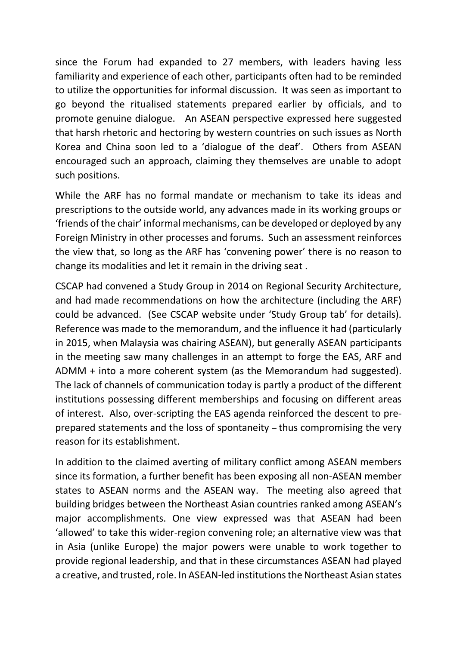since the Forum had expanded to 27 members, with leaders having less familiarity and experience of each other, participants often had to be reminded to utilize the opportunities for informal discussion. It was seen as important to go beyond the ritualised statements prepared earlier by officials, and to promote genuine dialogue. An ASEAN perspective expressed here suggested that harsh rhetoric and hectoring by western countries on such issues as North Korea and China soon led to a 'dialogue of the deaf'. Others from ASEAN encouraged such an approach, claiming they themselves are unable to adopt such positions.

While the ARF has no formal mandate or mechanism to take its ideas and prescriptions to the outside world, any advances made in its working groups or 'friends of the chair' informal mechanisms, can be developed or deployed by any Foreign Ministry in other processes and forums. Such an assessment reinforces the view that, so long as the ARF has 'convening power' there is no reason to change its modalities and let it remain in the driving seat .

CSCAP had convened a Study Group in 2014 on Regional Security Architecture, and had made recommendations on how the architecture (including the ARF) could be advanced. (See CSCAP website under 'Study Group tab' for details). Reference was made to the memorandum, and the influence it had (particularly in 2015, when Malaysia was chairing ASEAN), but generally ASEAN participants in the meeting saw many challenges in an attempt to forge the EAS, ARF and ADMM + into a more coherent system (as the Memorandum had suggested). The lack of channels of communication today is partly a product of the different institutions possessing different memberships and focusing on different areas of interest. Also, over-scripting the EAS agenda reinforced the descent to preprepared statements and the loss of spontaneity – thus compromising the very reason for its establishment.

In addition to the claimed averting of military conflict among ASEAN members since its formation, a further benefit has been exposing all non-ASEAN member states to ASEAN norms and the ASEAN way. The meeting also agreed that building bridges between the Northeast Asian countries ranked among ASEAN's major accomplishments. One view expressed was that ASEAN had been 'allowed' to take this wider-region convening role; an alternative view was that in Asia (unlike Europe) the major powers were unable to work together to provide regional leadership, and that in these circumstances ASEAN had played a creative, and trusted, role. In ASEAN-led institutions the Northeast Asian states